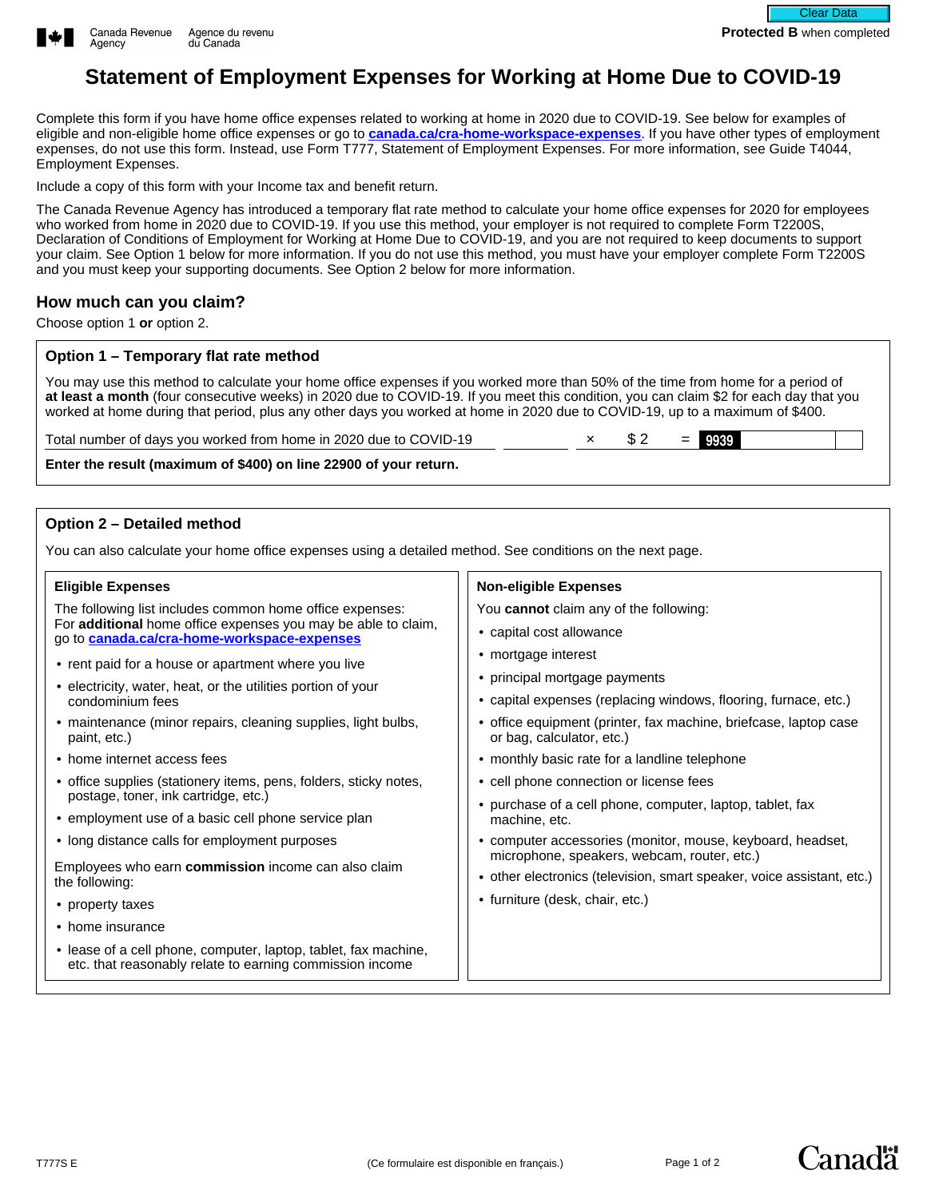

# **Statement of Employment Expenses for Working at Home Due to COVID-19**

Complete this form if you have home office expenses related to working at home in 2020 due to COVID-19. See below for examples of eligible and non-eligible home office expenses or go to **[canada.ca/cra-home-workspace-expenses](https://www.canada.ca/en/revenue-agency/services/tax/individuals/topics/about-your-tax-return/tax-return/completing-a-tax-return/deductions-credits-expenses/line-229-other-employment-expenses/work-space-home-expenses.html)**. If you have other types of employment expenses, do not use this form. Instead, use Form T777, Statement of Employment Expenses. For more information, see Guide T4044, Employment Expenses.

Include a copy of this form with your Income tax and benefit return.

The Canada Revenue Agency has introduced a temporary flat rate method to calculate your home office expenses for 2020 for employees who worked from home in 2020 due to COVID-19. If you use this method, your employer is not required to complete Form T2200S, Declaration of Conditions of Employment for Working at Home Due to COVID-19, and you are not required to keep documents to support your claim. See Option 1 below for more information. If you do not use this method, you must have your employer complete Form T2200S and you must keep your supporting documents. See Option 2 below for more information.

## **How much can you claim?**

Choose option 1 **or** option 2.

#### **Option 1 – Temporary flat rate method**

You may use this method to calculate your home office expenses if you worked more than 50% of the time from home for a period of **at least a month** (four consecutive weeks) in 2020 due to COVID-19. If you meet this condition, you can claim \$2 for each day that you worked at home during that period, plus any other days you worked at home in 2020 due to COVID-19, up to a maximum of \$400.

Total number of days you worked from home in 2020 due to COVID-19  $\times$  \$ 2 =  $\frac{9939}{ }$ 

**Enter the result (maximum of \$400) on line 22900 of your return.**

## **Option 2 – Detailed method**

You can also calculate your home office expenses using a detailed method. See conditions on the next page.

| <b>Eligible Expenses</b>                                                                                                                                                        | <b>Non-eligible Expenses</b>                                                                  |  |  |
|---------------------------------------------------------------------------------------------------------------------------------------------------------------------------------|-----------------------------------------------------------------------------------------------|--|--|
| The following list includes common home office expenses:<br>For additional home office expenses you may be able to claim,<br>go to <b>canada.ca/cra-home-workspace-expenses</b> | You <b>cannot</b> claim any of the following:                                                 |  |  |
|                                                                                                                                                                                 | • capital cost allowance                                                                      |  |  |
| • rent paid for a house or apartment where you live<br>• electricity, water, heat, or the utilities portion of your<br>condominium fees                                         | • mortgage interest                                                                           |  |  |
|                                                                                                                                                                                 | • principal mortgage payments                                                                 |  |  |
|                                                                                                                                                                                 | • capital expenses (replacing windows, flooring, furnace, etc.)                               |  |  |
| • maintenance (minor repairs, cleaning supplies, light bulbs,<br>paint, etc.)                                                                                                   | • office equipment (printer, fax machine, briefcase, laptop case<br>or bag, calculator, etc.) |  |  |
| • home internet access fees                                                                                                                                                     | • monthly basic rate for a landline telephone                                                 |  |  |
| • office supplies (stationery items, pens, folders, sticky notes,                                                                                                               | • cell phone connection or license fees                                                       |  |  |
| postage, toner, ink cartridge, etc.)                                                                                                                                            | • purchase of a cell phone, computer, laptop, tablet, fax                                     |  |  |
| • employment use of a basic cell phone service plan                                                                                                                             | machine, etc.                                                                                 |  |  |
| • long distance calls for employment purposes                                                                                                                                   | • computer accessories (monitor, mouse, keyboard, headset,                                    |  |  |
| Employees who earn commission income can also claim                                                                                                                             | microphone, speakers, webcam, router, etc.)                                                   |  |  |
| the following:                                                                                                                                                                  | • other electronics (television, smart speaker, voice assistant, etc.)                        |  |  |
| • property taxes                                                                                                                                                                | • furniture (desk, chair, etc.)                                                               |  |  |
| • home insurance                                                                                                                                                                |                                                                                               |  |  |
| • lease of a cell phone, computer, laptop, tablet, fax machine,<br>etc. that reasonably relate to earning commission income                                                     |                                                                                               |  |  |
|                                                                                                                                                                                 |                                                                                               |  |  |



Canadä<sup>r</sup>